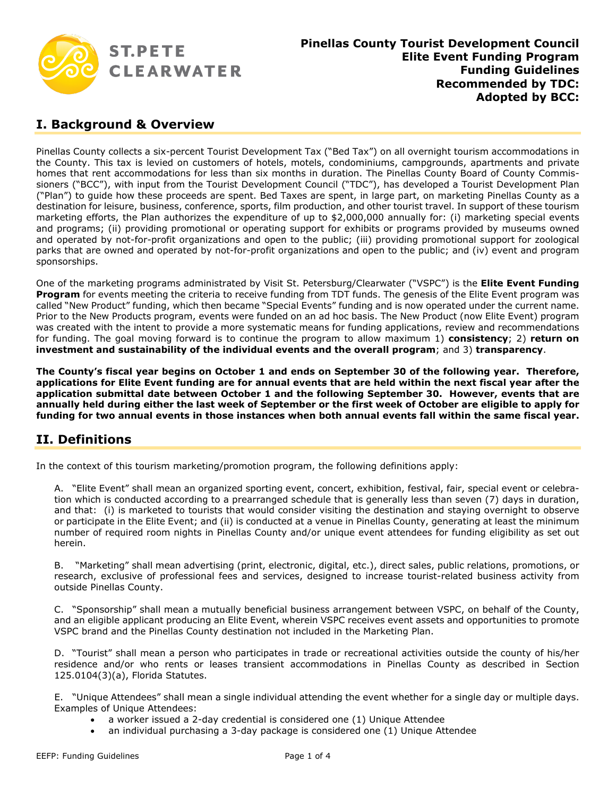

#### **I. Background & Overview**

Pinellas County collects a six-percent Tourist Development Tax ("Bed Tax") on all overnight tourism accommodations in the County. This tax is levied on customers of hotels, motels, condominiums, campgrounds, apartments and private homes that rent accommodations for less than six months in duration. The Pinellas County Board of County Commissioners ("BCC"), with input from the Tourist Development Council ("TDC"), has developed a Tourist Development Plan ("Plan") to guide how these proceeds are spent. Bed Taxes are spent, in large part, on marketing Pinellas County as a destination for leisure, business, conference, sports, film production, and other tourist travel. In support of these tourism marketing efforts, the Plan authorizes the expenditure of up to \$2,000,000 annually for: (i) marketing special events and programs; (ii) providing promotional or operating support for exhibits or programs provided by museums owned and operated by not-for-profit organizations and open to the public; (iii) providing promotional support for zoological parks that are owned and operated by not-for-profit organizations and open to the public; and (iv) event and program sponsorships.

One of the marketing programs administrated by Visit St. Petersburg/Clearwater ("VSPC") is the **Elite Event Funding Program** for events meeting the criteria to receive funding from TDT funds. The genesis of the Elite Event program was called "New Product" funding, which then became "Special Events" funding and is now operated under the current name. Prior to the New Products program, events were funded on an ad hoc basis. The New Product (now Elite Event) program was created with the intent to provide a more systematic means for funding applications, review and recommendations for funding. The goal moving forward is to continue the program to allow maximum 1) **consistency**; 2) **return on investment and sustainability of the individual events and the overall program**; and 3) **transparency**.

**The County's fiscal year begins on October 1 and ends on September 30 of the following year. Therefore,** applications for Elite Event funding are for annual events that are held within the next fiscal year after the **application submittal date between October 1 and the following September 30. However, events that are** annually held during either the last week of September or the first week of October are eligible to apply for funding for two annual events in those instances when both annual events fall within the same fiscal year.

## **II. Definitions**

In the context of this tourism marketing/promotion program, the following definitions apply:

A. "Elite Event" shall mean an organized sporting event, concert, exhibition, festival, fair, special event or celebration which is conducted according to a prearranged schedule that is generally less than seven (7) days in duration, and that: (i) is marketed to tourists that would consider visiting the destination and staying overnight to observe or participate in the Elite Event; and (ii) is conducted at a venue in Pinellas County, generating at least the minimum number of required room nights in Pinellas County and/or unique event attendees for funding eligibility as set out herein.

B. "Marketing" shall mean advertising (print, electronic, digital, etc.), direct sales, public relations, promotions, or research, exclusive of professional fees and services, designed to increase tourist-related business activity from outside Pinellas County.

C. "Sponsorship" shall mean a mutually beneficial business arrangement between VSPC, on behalf of the County, and an eligible applicant producing an Elite Event, wherein VSPC receives event assets and opportunities to promote VSPC brand and the Pinellas County destination not included in the Marketing Plan.

D. "Tourist" shall mean a person who participates in trade or recreational activities outside the county of his/her residence and/or who rents or leases transient accommodations in Pinellas County as described in Section 125.0104(3)(a), Florida Statutes.

E. "Unique Attendees" shall mean a single individual attending the event whether for a single day or multiple days. Examples of Unique Attendees:

- a worker issued a 2-day credential is considered one (1) Unique Attendee
- an individual purchasing a 3-day package is considered one (1) Unique Attendee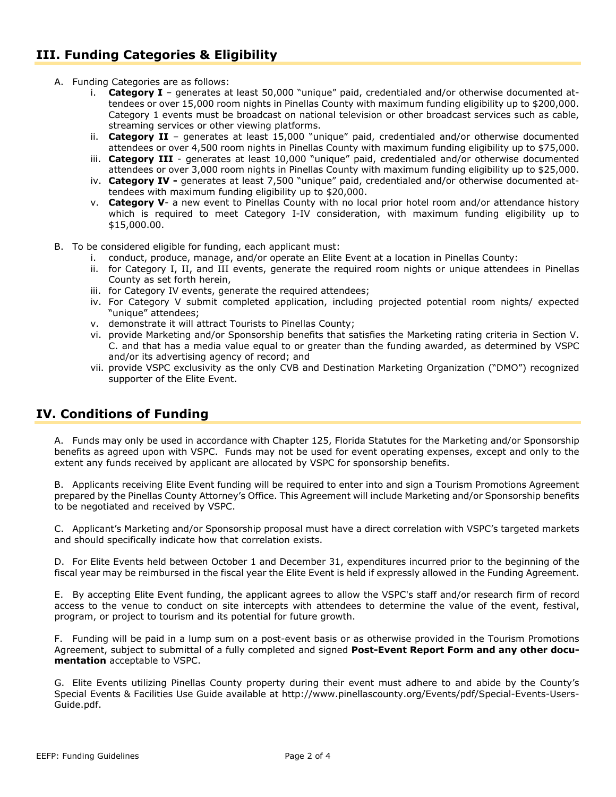## **III. Funding Categories & Eligibility**

- A. Funding Categories are as follows:
	- i. **Category I** generates at least 50,000 "unique" paid, credentialed and/or otherwise documented attendees or over 15,000 room nights in Pinellas County with maximum funding eligibility up to \$200,000. Category 1 events must be broadcast on national television or other broadcast services such as cable, streaming services or other viewing platforms.
	- ii. **Category II** generates at least 15,000 "unique" paid, credentialed and/or otherwise documented attendees or over 4,500 room nights in Pinellas County with maximum funding eligibility up to \$75,000.
	- iii. **Category III** generates at least 10,000 "unique" paid, credentialed and/or otherwise documented attendees or over 3,000 room nights in Pinellas County with maximum funding eligibility up to \$25,000.
	- iv. **Category IV -** generates at least 7,500 "unique" paid, credentialed and/or otherwise documented attendees with maximum funding eligibility up to \$20,000.
	- v. **Category V** a new event to Pinellas County with no local prior hotel room and/or attendance history which is required to meet Category I-IV consideration, with maximum funding eligibility up to \$15,000.00.
- B. To be considered eligible for funding, each applicant must:
	- i. conduct, produce, manage, and/or operate an Elite Event at a location in Pinellas County:
	- ii. for Category I, II, and III events, generate the required room nights or unique attendees in Pinellas County as set forth herein,
	- iii. for Category IV events, generate the required attendees;
	- iv. For Category V submit completed application, including projected potential room nights/ expected "unique" attendees;
	- v. demonstrate it will attract Tourists to Pinellas County;
	- vi. provide Marketing and/or Sponsorship benefits that satisfies the Marketing rating criteria in Section V. C. and that has a media value equal to or greater than the funding awarded, as determined by VSPC and/or its advertising agency of record; and
	- vii. provide VSPC exclusivity as the only CVB and Destination Marketing Organization ("DMO") recognized supporter of the Elite Event.

## **IV. Conditions of Funding**

A. Funds may only be used in accordance with Chapter 125, Florida Statutes for the Marketing and/or Sponsorship benefits as agreed upon with VSPC. Funds may not be used for event operating expenses, except and only to the extent any funds received by applicant are allocated by VSPC for sponsorship benefits.

B. Applicants receiving Elite Event funding will be required to enter into and sign a Tourism Promotions Agreement prepared by the Pinellas County Attorney's Office. This Agreement will include Marketing and/or Sponsorship benefits to be negotiated and received by VSPC.

C. Applicant's Marketing and/or Sponsorship proposal must have a direct correlation with VSPC's targeted markets and should specifically indicate how that correlation exists.

D. For Elite Events held between October 1 and December 31, expenditures incurred prior to the beginning of the fiscal year may be reimbursed in the fiscal year the Elite Event is held if expressly allowed in the Funding Agreement.

E. By accepting Elite Event funding, the applicant agrees to allow the VSPC's staff and/or research firm of record access to the venue to conduct on site intercepts with attendees to determine the value of the event, festival, program, or project to tourism and its potential for future growth.

F. Funding will be paid in a lump sum on a post-event basis or as otherwise provided in the Tourism Promotions Agreement, subject to submittal of a fully completed and signed **Post-Event Report Form and any other documentation** acceptable to VSPC.

G. Elite Events utilizing Pinellas County property during their event must adhere to and abide by the County's Special Events & Facilities Use Guide available at http://www.pinellascounty.org/Events/pdf/Special-Events-Users-Guide.pdf.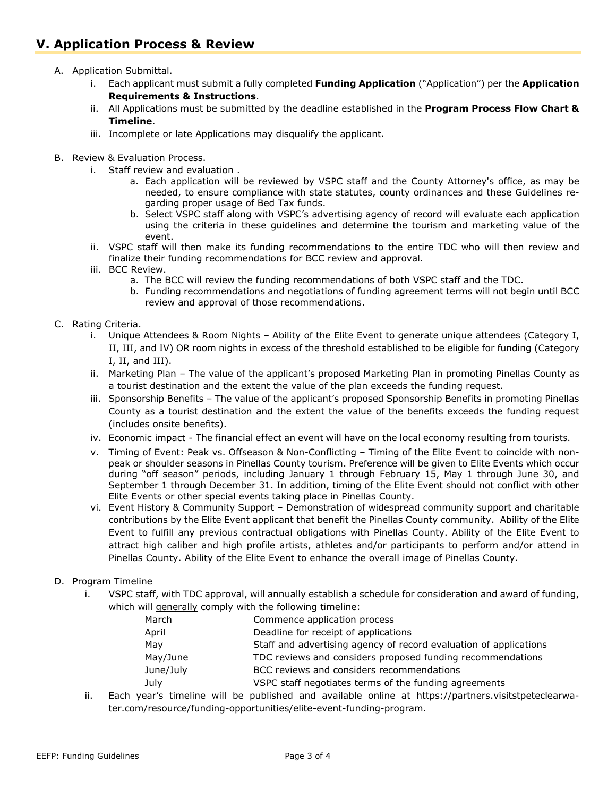# **V. Application Process & Review**

- A. Application Submittal.
	- i. Each applicant must submit a fully completed **Funding Application** ("Application") per the **Application Requirements & Instructions**.
	- ii. All Applications must be submitted by the deadline established in the **Program Process Flow Chart & Timeline**.
	- iii. Incomplete or late Applications may disqualify the applicant.
- B. Review & Evaluation Process.
	- i. Staff review and evaluation .
		- a. Each application will be reviewed by VSPC staff and the County Attorney's office, as may be needed, to ensure compliance with state statutes, county ordinances and these Guidelines regarding proper usage of Bed Tax funds.
		- b. Select VSPC staff along with VSPC's advertising agency of record will evaluate each application using the criteria in these guidelines and determine the tourism and marketing value of the event.
	- ii. VSPC staff will then make its funding recommendations to the entire TDC who will then review and finalize their funding recommendations for BCC review and approval.
	- iii. BCC Review.
		- a. The BCC will review the funding recommendations of both VSPC staff and the TDC.
		- b. Funding recommendations and negotiations of funding agreement terms will not begin until BCC review and approval of those recommendations.
- C. Rating Criteria.
	- i. Unique Attendees & Room Nights Ability of the Elite Event to generate unique attendees (Category I, II, III, and IV) OR room nights in excess of the threshold established to be eligible for funding (Category I, II, and III).
	- ii. Marketing Plan The value of the applicant's proposed Marketing Plan in promoting Pinellas County as a tourist destination and the extent the value of the plan exceeds the funding request.
	- iii. Sponsorship Benefits The value of the applicant's proposed Sponsorship Benefits in promoting Pinellas County as a tourist destination and the extent the value of the benefits exceeds the funding request (includes onsite benefits).
	- iv. Economic impact The financial effect an event will have on the local economy resulting from tourists.
	- v. Timing of Event: Peak vs. Offseason & Non-Conflicting Timing of the Elite Event to coincide with nonpeak or shoulder seasons in Pinellas County tourism. Preference will be given to Elite Events which occur during "off season" periods, including January 1 through February 15, May 1 through June 30, and September 1 through December 31. In addition, timing of the Elite Event should not conflict with other Elite Events or other special events taking place in Pinellas County.
	- vi. Event History & Community Support Demonstration of widespread community support and charitable contributions by the Elite Event applicant that benefit the Pinellas County community. Ability of the Elite Event to fulfill any previous contractual obligations with Pinellas County. Ability of the Elite Event to attract high caliber and high profile artists, athletes and/or participants to perform and/or attend in Pinellas County. Ability of the Elite Event to enhance the overall image of Pinellas County.

#### D. Program Timeline

i. VSPC staff, with TDC approval, will annually establish a schedule for consideration and award of funding, which will generally comply with the following timeline:

|           | $\cdots$ quitted with a contract product and the contract of anti-contract |
|-----------|----------------------------------------------------------------------------|
| March     | Commence application process                                               |
| April     | Deadline for receipt of applications                                       |
| May       | Staff and advertising agency of record evaluation of applications          |
| May/June  | TDC reviews and considers proposed funding recommendations                 |
| June/July | BCC reviews and considers recommendations                                  |
| July      | VSPC staff negotiates terms of the funding agreements                      |
|           |                                                                            |

ii. Each year's timeline will be published and available online at https://partners.visitstpeteclearwater.com/resource/funding-opportunities/elite-event-funding-program.